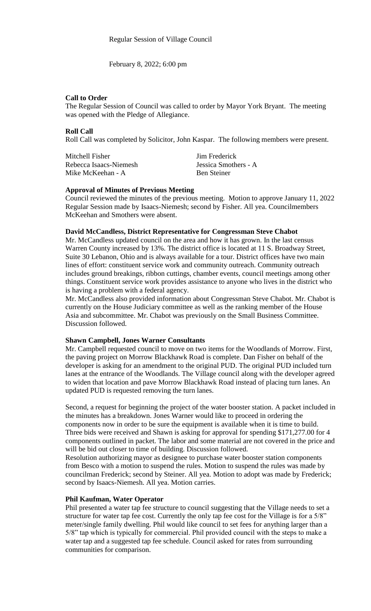February 8, 2022; 6:00 pm

#### **Call to Order**

The Regular Session of Council was called to order by Mayor York Bryant. The meeting was opened with the Pledge of Allegiance.

#### **Roll Call**

Roll Call was completed by Solicitor, John Kaspar. The following members were present.

Mitchell Fisher Jim Frederick Rebecca Isaacs-Niemesh Jessica Smothers - A Mike McKeehan - A Ben Steiner

#### **Approval of Minutes of Previous Meeting**

Council reviewed the minutes of the previous meeting. Motion to approve January 11, 2022 Regular Session made by Isaacs-Niemesh; second by Fisher. All yea. Councilmembers McKeehan and Smothers were absent.

#### **David McCandless, District Representative for Congressman Steve Chabot**

Mr. McCandless updated council on the area and how it has grown. In the last census Warren County increased by 13%. The district office is located at 11 S. Broadway Street, Suite 30 Lebanon, Ohio and is always available for a tour. District offices have two main lines of effort: constituent service work and community outreach. Community outreach includes ground breakings, ribbon cuttings, chamber events, council meetings among other things. Constituent service work provides assistance to anyone who lives in the district who is having a problem with a federal agency.

Mr. McCandless also provided information about Congressman Steve Chabot. Mr. Chabot is currently on the House Judiciary committee as well as the ranking member of the House Asia and subcommittee. Mr. Chabot was previously on the Small Business Committee. Discussion followed.

## **Shawn Campbell, Jones Warner Consultants**

Mr. Campbell requested council to move on two items for the Woodlands of Morrow. First, the paving project on Morrow Blackhawk Road is complete. Dan Fisher on behalf of the developer is asking for an amendment to the original PUD. The original PUD included turn lanes at the entrance of the Woodlands. The Village council along with the developer agreed to widen that location and pave Morrow Blackhawk Road instead of placing turn lanes. An updated PUD is requested removing the turn lanes.

Second, a request for beginning the project of the water booster station. A packet included in the minutes has a breakdown. Jones Warner would like to proceed in ordering the components now in order to be sure the equipment is available when it is time to build. Three bids were received and Shawn is asking for approval for spending \$171,277.00 for 4 components outlined in packet. The labor and some material are not covered in the price and will be bid out closer to time of building. Discussion followed.

Resolution authorizing mayor as designee to purchase water booster station components from Besco with a motion to suspend the rules. Motion to suspend the rules was made by councilman Frederick; second by Steiner. All yea. Motion to adopt was made by Frederick; second by Isaacs-Niemesh. All yea. Motion carries.

## **Phil Kaufman, Water Operator**

Phil presented a water tap fee structure to council suggesting that the Village needs to set a structure for water tap fee cost. Currently the only tap fee cost for the Village is for a 5/8" meter/single family dwelling. Phil would like council to set fees for anything larger than a 5/8" tap which is typically for commercial. Phil provided council with the steps to make a water tap and a suggested tap fee schedule. Council asked for rates from surrounding communities for comparison.